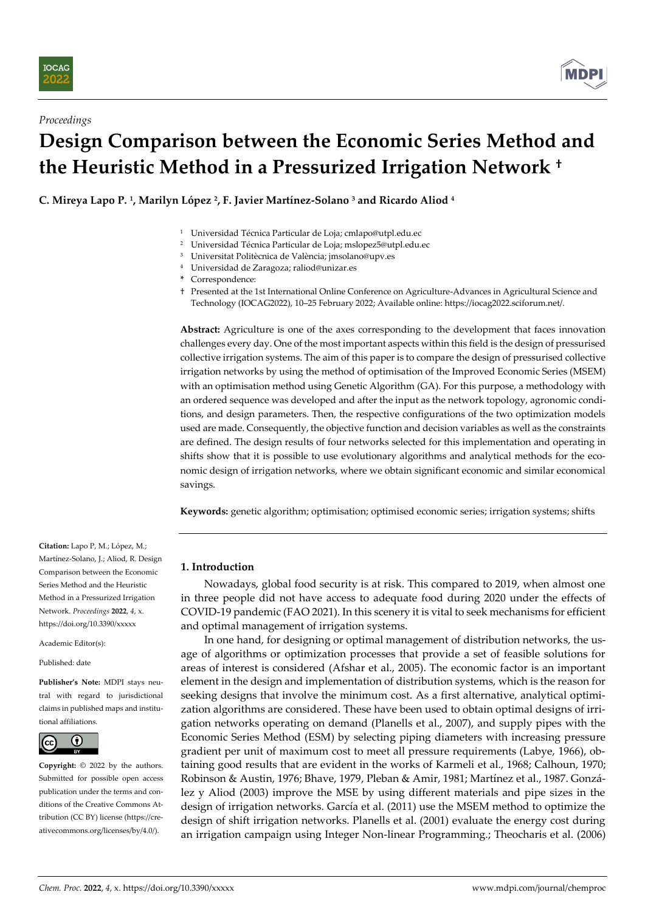



# **Design Comparison between the Economic Series Method and the Heuristic Method in a Pressurized Irrigation Network †**

**C. Mireya Lapo P. <sup>1</sup> , Marilyn López <sup>2</sup> , F. Javier Martínez-Solano <sup>3</sup> and Ricardo Aliod <sup>4</sup>**

- <sup>1</sup> Universidad Técnica Particular de Loja; cmlapo@utpl.edu.ec
- <sup>2</sup> Universidad Técnica Particular de Loja; mslopez5@utpl.edu.ec
- <sup>3</sup> Universitat Politècnica de València; jmsolano@upv.es
- <sup>4</sup> Universidad de Zaragoza; [raliod@unizar.es](mailto:raliod@unizar.es)
- **\*** Correspondence:
- † Presented at the 1st International Online Conference on Agriculture-Advances in Agricultural Science and Technology (IOCAG2022), 10–25 February 2022; Available online: https://iocag2022.sciforum.net/.

**Abstract:** Agriculture is one of the axes corresponding to the development that faces innovation challenges every day. One of the most important aspects within this field is the design of pressurised collective irrigation systems. The aim of this paper is to compare the design of pressurised collective irrigation networks by using the method of optimisation of the Improved Economic Series (MSEM) with an optimisation method using Genetic Algorithm (GA). For this purpose, a methodology with an ordered sequence was developed and after the input as the network topology, agronomic conditions, and design parameters. Then, the respective configurations of the two optimization models used are made. Consequently, the objective function and decision variables as well as the constraints are defined. The design results of four networks selected for this implementation and operating in shifts show that it is possible to use evolutionary algorithms and analytical methods for the economic design of irrigation networks, where we obtain significant economic and similar economical savings.

**Keywords:** genetic algorithm; optimisation; optimised economic series; irrigation systems; shifts

# **1. Introduction**

Nowadays, global food security is at risk. This compared to 2019, when almost one in three people did not have access to adequate food during 2020 under the effects of COVID-19 pandemic (FAO 2021). In this scenery it is vital to seek mechanisms for efficient and optimal management of irrigation systems.

In one hand, for designing or optimal management of distribution networks, the usage of algorithms or optimization processes that provide a set of feasible solutions for areas of interest is considered (Afshar et al., 2005). The economic factor is an important element in the design and implementation of distribution systems, which is the reason for seeking designs that involve the minimum cost. As a first alternative, analytical optimization algorithms are considered. These have been used to obtain optimal designs of irrigation networks operating on demand (Planells et al., 2007), and supply pipes with the Economic Series Method (ESM) by selecting piping diameters with increasing pressure gradient per unit of maximum cost to meet all pressure requirements (Labye, 1966), obtaining good results that are evident in the works of Karmeli et al., 1968; Calhoun, 1970; Robinson & Austin, 1976; Bhave, 1979, Pleban & Amir, 1981; Martínez et al., 1987. González y Aliod (2003) improve the MSE by using different materials and pipe sizes in the design of irrigation networks. García et al. (2011) use the MSEM method to optimize the design of shift irrigation networks. Planells et al. (2001) evaluate the energy cost during an irrigation campaign using Integer Non-linear Programming.; Theocharis et al. (2006)

**Citation:** Lapo P, M.; López, M.; Martínez-Solano, J.; Aliod, R. Design Comparison between the Economic Series Method and the Heuristic Method in a Pressurized Irrigation Network. *Proceedings* **2022**, *4*, x. https://doi.org/10.3390/xxxxx

Academic Editor(s):

Published: date

**Publisher's Note:** MDPI stays neutral with regard to jurisdictional claims in published maps and institutional affiliations.



**Copyright:** © 2022 by the authors. Submitted for possible open access publication under the terms and conditions of the Creative Commons Attribution (CC BY) license (https://creativecommons.org/licenses/by/4.0/).

**MDF**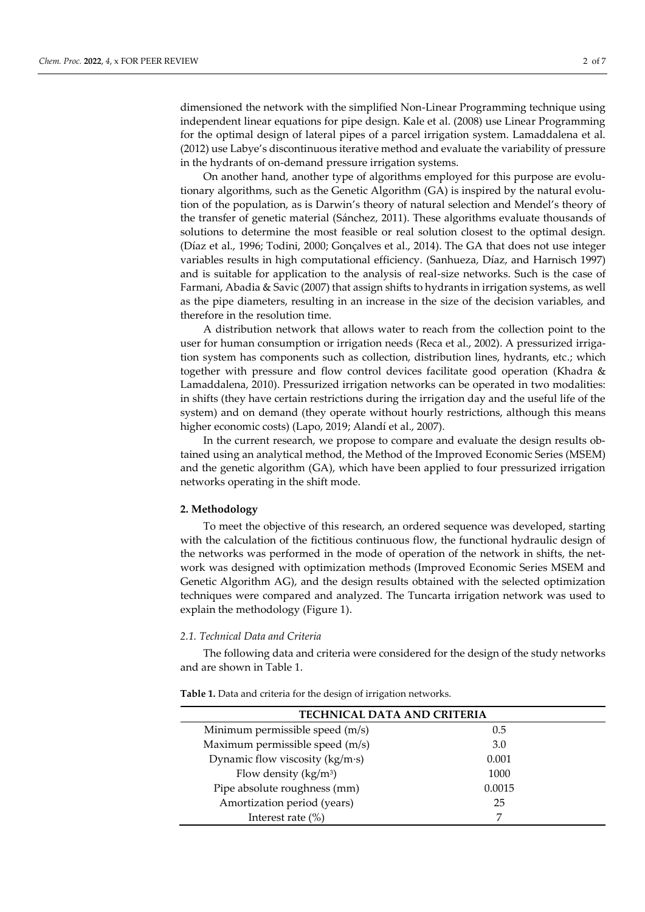dimensioned the network with the simplified Non-Linear Programming technique using independent linear equations for pipe design. Kale et al. (2008) use Linear Programming for the optimal design of lateral pipes of a parcel irrigation system. Lamaddalena et al. (2012) use Labye's discontinuous iterative method and evaluate the variability of pressure in the hydrants of on-demand pressure irrigation systems.

On another hand, another type of algorithms employed for this purpose are evolutionary algorithms, such as the Genetic Algorithm (GA) is inspired by the natural evolution of the population, as is Darwin's theory of natural selection and Mendel's theory of the transfer of genetic material (Sánchez, 2011). These algorithms evaluate thousands of solutions to determine the most feasible or real solution closest to the optimal design. (Díaz et al., 1996; Todini, 2000; Gonçalves et al., 2014). The GA that does not use integer variables results in high computational efficiency. (Sanhueza, Díaz, and Harnisch 1997) and is suitable for application to the analysis of real-size networks. Such is the case of Farmani, Abadia & Savic (2007) that assign shifts to hydrants in irrigation systems, as well as the pipe diameters, resulting in an increase in the size of the decision variables, and therefore in the resolution time.

A distribution network that allows water to reach from the collection point to the user for human consumption or irrigation needs (Reca et al., 2002). A pressurized irrigation system has components such as collection, distribution lines, hydrants, etc.; which together with pressure and flow control devices facilitate good operation (Khadra & Lamaddalena, 2010). Pressurized irrigation networks can be operated in two modalities: in shifts (they have certain restrictions during the irrigation day and the useful life of the system) and on demand (they operate without hourly restrictions, although this means higher economic costs) (Lapo, 2019; Alandí et al., 2007).

In the current research, we propose to compare and evaluate the design results obtained using an analytical method, the Method of the Improved Economic Series (MSEM) and the genetic algorithm (GA), which have been applied to four pressurized irrigation networks operating in the shift mode.

## **2. Methodology**

To meet the objective of this research, an ordered sequence was developed, starting with the calculation of the fictitious continuous flow, the functional hydraulic design of the networks was performed in the mode of operation of the network in shifts, the network was designed with optimization methods (Improved Economic Series MSEM and Genetic Algorithm AG), and the design results obtained with the selected optimization techniques were compared and analyzed. The Tuncarta irrigation network was used to explain the methodology (Figure 1).

#### *2.1. Technical Data and Criteria*

The following data and criteria were considered for the design of the study networks and are shown in Table 1.

**Table 1.** Data and criteria for the design of irrigation networks.

| <b>TECHNICAL DATA AND CRITERIA</b> |        |  |  |  |
|------------------------------------|--------|--|--|--|
| Minimum permissible speed (m/s)    | 0.5    |  |  |  |
| Maximum permissible speed (m/s)    | 3.0    |  |  |  |
| Dynamic flow viscosity (kg/m·s)    | 0.001  |  |  |  |
| Flow density $(kg/m^3)$            | 1000   |  |  |  |
| Pipe absolute roughness (mm)       | 0.0015 |  |  |  |
| Amortization period (years)        | 25     |  |  |  |
| Interest rate $(\%)$               |        |  |  |  |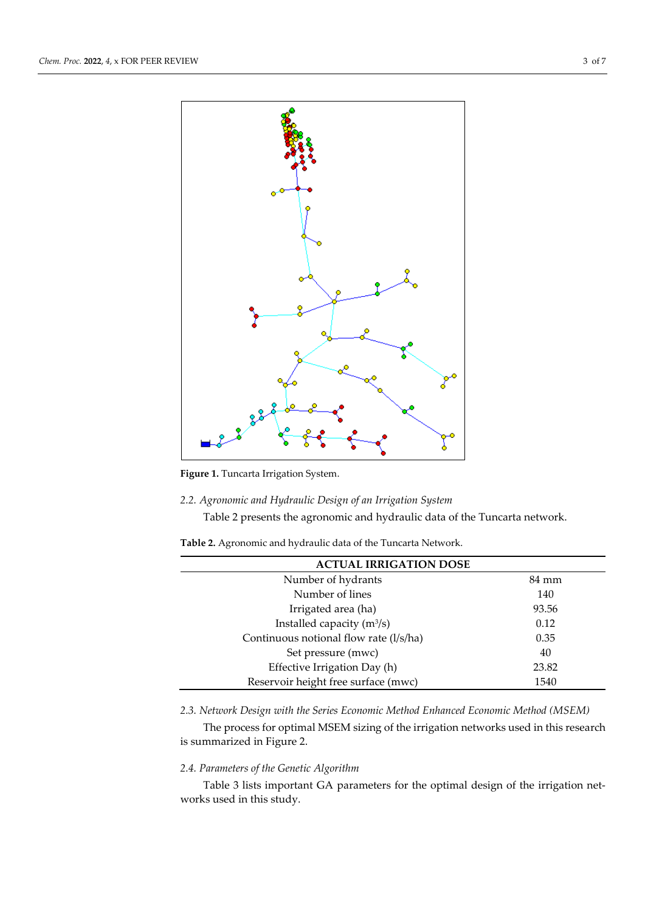

**Figure 1.** Tuncarta Irrigation System.

# *2.2. Agronomic and Hydraulic Design of an Irrigation System*

Table 2 presents the agronomic and hydraulic data of the Tuncarta network.

**Table 2.** Agronomic and hydraulic data of the Tuncarta Network.

| <b>ACTUAL IRRIGATION DOSE</b>          |       |  |  |  |
|----------------------------------------|-------|--|--|--|
| Number of hydrants                     | 84 mm |  |  |  |
| Number of lines                        | 140   |  |  |  |
| Irrigated area (ha)                    | 93.56 |  |  |  |
| Installed capacity $(m^3/s)$           | 0.12  |  |  |  |
| Continuous notional flow rate (l/s/ha) | 0.35  |  |  |  |
| Set pressure (mwc)                     | 40    |  |  |  |
| Effective Irrigation Day (h)           | 23.82 |  |  |  |
| Reservoir height free surface (mwc)    | 1540  |  |  |  |

*2.3. Network Design with the Series Economic Method Enhanced Economic Method (MSEM)*

The process for optimal MSEM sizing of the irrigation networks used in this research is summarized in Figure 2.

# *2.4. Parameters of the Genetic Algorithm*

Table 3 lists important GA parameters for the optimal design of the irrigation networks used in this study.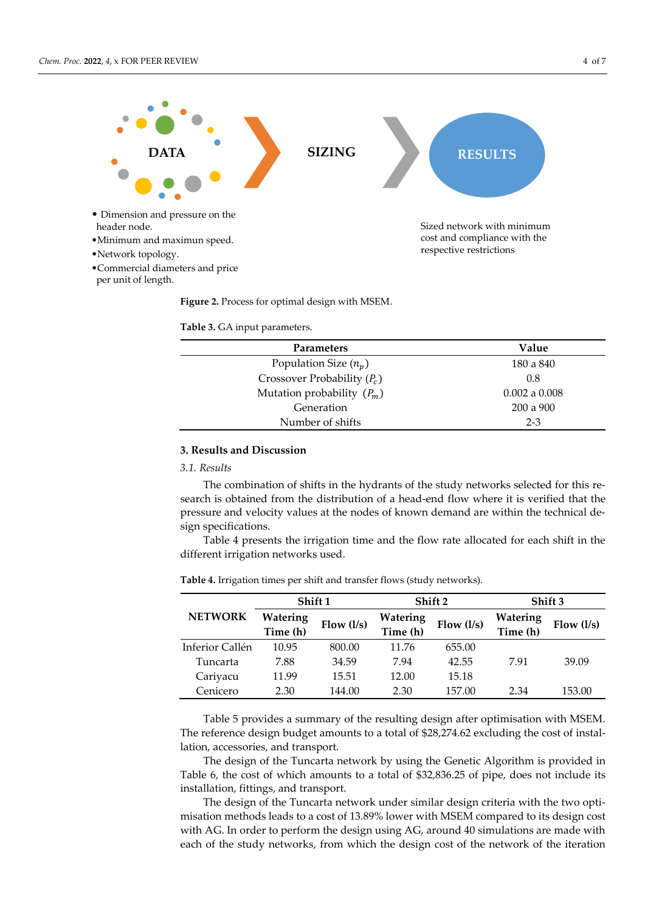

**Figure 2.** Process for optimal design with MSEM.

**Table 3.** GA input parameters.

| <b>Parameters</b>             | Value         |
|-------------------------------|---------------|
| Population Size $(n_p)$       | 180 a 840     |
| Crossover Probability $(P_c)$ | 0.8           |
| Mutation probability $(P_m)$  | 0.002 a 0.008 |
| Generation                    | $200a$ 900    |
| Number of shifts              | $2 - 3$       |

## **3. Results and Discussion**

# *3.1. Results*

The combination of shifts in the hydrants of the study networks selected for this research is obtained from the distribution of a head-end flow where it is verified that the pressure and velocity values at the nodes of known demand are within the technical design specifications.

Table 4 presents the irrigation time and the flow rate allocated for each shift in the different irrigation networks used.

|                 | Shift 1              |              | Shift 2              |              | Shift 3              |              |
|-----------------|----------------------|--------------|----------------------|--------------|----------------------|--------------|
| <b>NETWORK</b>  | Watering<br>Time (h) | Flow $(l/s)$ | Watering<br>Time (h) | Flow $(l/s)$ | Watering<br>Time (h) | Flow $(l/s)$ |
| Inferior Callén | 10.95                | 800.00       | 11.76                | 655.00       |                      |              |
| Tuncarta        | 7.88                 | 34.59        | 7.94                 | 42.55        | 7.91                 | 39.09        |
| Cariyacu        | 11.99                | 15.51        | 12.00                | 15.18        |                      |              |
| Cenicero        | 2.30                 | 144.00       | 2.30                 | 157.00       | 2.34                 | 153.00       |

**Table 4.** Irrigation times per shift and transfer flows (study networks).

Table 5 provides a summary of the resulting design after optimisation with MSEM. The reference design budget amounts to a total of \$28,274.62 excluding the cost of installation, accessories, and transport.

The design of the Tuncarta network by using the Genetic Algorithm is provided in Table 6, the cost of which amounts to a total of \$32,836.25 of pipe, does not include its installation, fittings, and transport.

The design of the Tuncarta network under similar design criteria with the two optimisation methods leads to a cost of 13.89% lower with MSEM compared to its design cost with AG. In order to perform the design using AG, around 40 simulations are made with each of the study networks, from which the design cost of the network of the iteration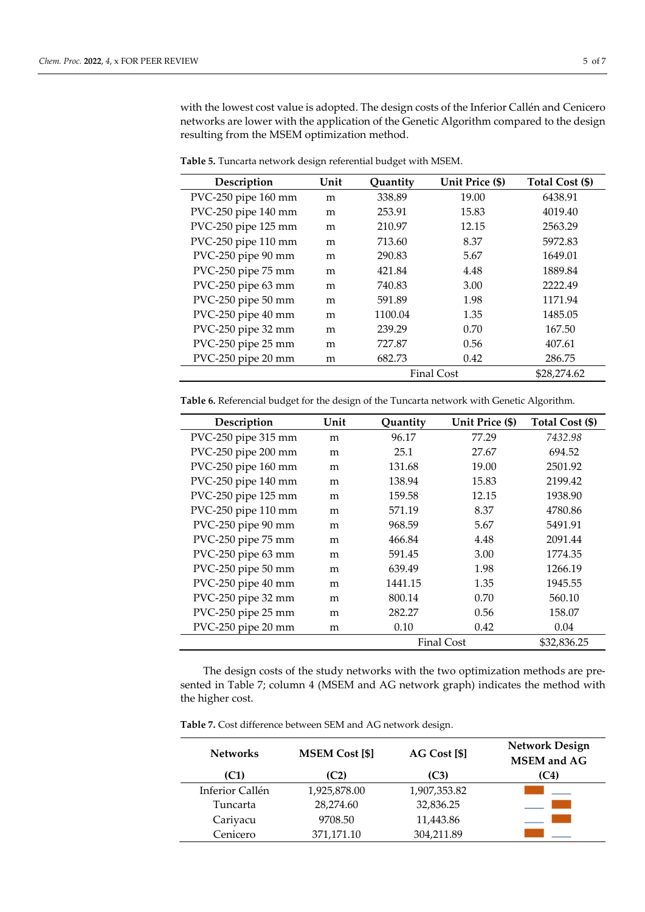with the lowest cost value is adopted. The design costs of the Inferior Callén and Cenicero networks are lower with the application of the Genetic Algorithm compared to the design resulting from the MSEM optimization method.

| Description         | Unit | Quantity          | Unit Price (\$) | Total Cost (\$) |
|---------------------|------|-------------------|-----------------|-----------------|
| PVC-250 pipe 160 mm | m    | 338.89            | 19.00           | 6438.91         |
| PVC-250 pipe 140 mm | m    | 253.91            | 15.83           | 4019.40         |
| PVC-250 pipe 125 mm | m    | 210.97            | 12.15           | 2563.29         |
| PVC-250 pipe 110 mm | m    | 713.60            | 8.37            | 5972.83         |
| PVC-250 pipe 90 mm  | m    | 290.83            | 5.67            | 1649.01         |
| PVC-250 pipe 75 mm  | m    | 421.84            | 4.48            | 1889.84         |
| PVC-250 pipe 63 mm  | m    | 740.83            | 3.00            | 2222.49         |
| PVC-250 pipe 50 mm  | m    | 591.89            | 1.98            | 1171.94         |
| PVC-250 pipe 40 mm  | m    | 1100.04           | 1.35            | 1485.05         |
| PVC-250 pipe 32 mm  | m    | 239.29            | 0.70            | 167.50          |
| PVC-250 pipe 25 mm  | m    | 727.87            | 0.56            | 407.61          |
| PVC-250 pipe 20 mm  | m    | 682.73            | 0.42            | 286.75          |
|                     |      | <b>Final Cost</b> |                 | \$28,274.62     |

**Table 5.** Tuncarta network design referential budget with MSEM.

**Table 6.** Referencial budget for the design of the Tuncarta network with Genetic Algorithm.

| Description         | Unit | Quantity          | Unit Price (\$) | Total Cost (\$) |
|---------------------|------|-------------------|-----------------|-----------------|
| PVC-250 pipe 315 mm | m    | 96.17             | 77.29           | 7432.98         |
| PVC-250 pipe 200 mm | m    | 25.1              | 27.67           | 694.52          |
| PVC-250 pipe 160 mm | m    | 131.68            | 19.00           | 2501.92         |
| PVC-250 pipe 140 mm | m    | 138.94            | 15.83           | 2199.42         |
| PVC-250 pipe 125 mm | m    | 159.58            | 12.15           | 1938.90         |
| PVC-250 pipe 110 mm | m    | 571.19            | 8.37            | 4780.86         |
| PVC-250 pipe 90 mm  | m    | 968.59            | 5.67            | 5491.91         |
| PVC-250 pipe 75 mm  | m    | 466.84            | 4.48            | 2091.44         |
| PVC-250 pipe 63 mm  | m    | 591.45            | 3.00            | 1774.35         |
| PVC-250 pipe 50 mm  | m    | 639.49            | 1.98            | 1266.19         |
| PVC-250 pipe 40 mm  | m    | 1441.15           | 1.35            | 1945.55         |
| PVC-250 pipe 32 mm  | m    | 800.14            | 0.70            | 560.10          |
| PVC-250 pipe 25 mm  | m    | 282.27            | 0.56            | 158.07          |
| PVC-250 pipe 20 mm  | m    | 0.10              | 0.42            | 0.04            |
|                     |      | <b>Final Cost</b> |                 | \$32,836.25     |

The design costs of the study networks with the two optimization methods are presented in Table 7; column 4 (MSEM and AG network graph) indicates the method with the higher cost.

| <b>Networks</b> | <b>MSEM Cost [\$]</b> | AG Cost [\$] | <b>Network Design</b><br><b>MSEM</b> and AG |
|-----------------|-----------------------|--------------|---------------------------------------------|
| (C1)            | (C2)                  | (C3)         | (C4)                                        |
| Inferior Callén | 1,925,878.00          | 1,907,353.82 |                                             |
| Tuncarta        | 28,274.60             | 32,836.25    |                                             |
| Cariyacu        | 9708.50               | 11,443.86    |                                             |
| Cenicero        | 371,171.10            | 304,211.89   |                                             |

**Table 7.** Cost difference between SEM and AG network design.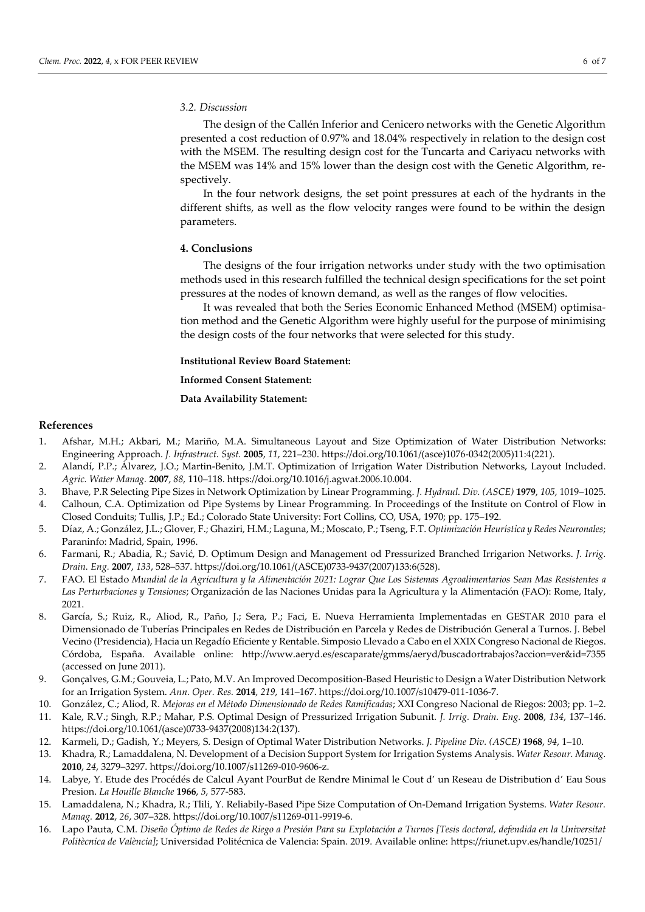#### *3.2. Discussion*

The design of the Callén Inferior and Cenicero networks with the Genetic Algorithm presented a cost reduction of 0.97% and 18.04% respectively in relation to the design cost with the MSEM. The resulting design cost for the Tuncarta and Cariyacu networks with the MSEM was 14% and 15% lower than the design cost with the Genetic Algorithm, respectively.

In the four network designs, the set point pressures at each of the hydrants in the different shifts, as well as the flow velocity ranges were found to be within the design parameters.

### **4. Conclusions**

The designs of the four irrigation networks under study with the two optimisation methods used in this research fulfilled the technical design specifications for the set point pressures at the nodes of known demand, as well as the ranges of flow velocities.

It was revealed that both the Series Economic Enhanced Method (MSEM) optimisation method and the Genetic Algorithm were highly useful for the purpose of minimising the design costs of the four networks that were selected for this study.

## **Institutional Review Board Statement:**

**Informed Consent Statement:**

**Data Availability Statement:**

### **References**

- 1. Afshar, M.H.; Akbari, M.; Mariño, M.A. Simultaneous Layout and Size Optimization of Water Distribution Networks: Engineering Approach. *J. Infrastruct. Syst.* **2005**, *11*, 221–230. https://doi.org/10.1061/(asce)1076-0342(2005)11:4(221).
- 2. Alandí, P.P.; Á lvarez, J.O.; Martin-Benito, J.M.T. Optimization of Irrigation Water Distribution Networks, Layout Included. *Agric. Water Manag.* **2007**, *88*, 110–118. https://doi.org/10.1016/j.agwat.2006.10.004.
- 3. Bhave, P.R Selecting Pipe Sizes in Network Optimization by Linear Programming. *J. Hydraul. Div. (ASCE)* **1979**, *105*, 1019–1025.
- 4. Calhoun, C.A. Optimization od Pipe Systems by Linear Programming. In Proceedings of the Institute on Control of Flow in Closed Conduits; Tullis, J.P.; Ed.; Colorado State University: Fort Collins, CO, USA, 1970; pp. 175–192.
- 5. Díaz, A.; González, J.L.; Glover, F.; Ghaziri, H.M.; Laguna, M.; Moscato, P.; Tseng, F.T. *Optimización Heurística y Redes Neuronales*; Paraninfo: Madrid, Spain, 1996.
- 6. Farmani, R.; Abadia, R.; Savić, D. Optimum Design and Management od Pressurized Branched Irrigarion Networks. *J. Irrig. Drain. Eng.* **2007**, *133*, 528–537. https://doi.org/10.1061/(ASCE)0733-9437(2007)133:6(528).
- 7. FAO. El Estado Mundial de la Agricultura y la Alimentación 2021: Lograr Que Los Sistemas Agroalimentarios Sean Mas Resistentes a *Las Perturbaciones y Tensiones*; Organización de las Naciones Unidas para la Agricultura y la Alimentación (FAO): Rome, Italy, 2021.
- 8. García, S.; Ruiz, R., Aliod, R., Paño, J.; Sera, P.; Faci, E. Nueva Herramienta Implementadas en GESTAR 2010 para el Dimensionado de Tuberías Principales en Redes de Distribución en Parcela y Redes de Distribución General a Turnos. J. Bebel Vecino (Presidencia), Hacia un Regadío Eficiente y Rentable. Simposio Llevado a Cabo en el XXIX Congreso Nacional de Riegos. Córdoba, España. Available online: http://www.aeryd.es/escaparate/gmms/aeryd/buscadortrabajos?accion=ver&id=7355 (accessed on June 2011).
- 9. Gonçalves, G.M.; Gouveia, L.; Pato, M.V. An Improved Decomposition-Based Heuristic to Design a Water Distribution Network for an Irrigation System. *Ann. Oper. Res.* **2014**, *219*, 141–167. https://doi.org/10.1007/s10479-011-1036-7.
- 10. González, C.; Aliod, R. *Mejoras en el Método Dimensionado de Redes Ramificadas*; XXI Congreso Nacional de Riegos: 2003; pp. 1–2.
- 11. Kale, R.V.; Singh, R.P.; Mahar, P.S. Optimal Design of Pressurized Irrigation Subunit. *J. Irrig. Drain. Eng.* **2008**, *134*, 137–146. https://doi.org/10.1061/(asce)0733-9437(2008)134:2(137).
- 12. Karmeli, D.; Gadish, Y.; Meyers, S. Design of Optimal Water Distribution Networks. *J. Pipeline Div. (ASCE)* **1968**, *94*, 1–10.
- 13. Khadra, R.; Lamaddalena, N. Development of a Decision Support System for Irrigation Systems Analysis. *Water Resour. Manag.*  **2010**, *24*, 3279–3297. https://doi.org/10.1007/s11269-010-9606-z.
- 14. Labye, Y. Etude des Procédés de Calcul Ayant PourBut de Rendre Minimal le Cout d' un Reseau de Distribution d' Eau Sous Presion. *La Houille Blanche* **1966**, *5*, 577-583.
- 15. Lamaddalena, N.; Khadra, R.; Tlili, Y. Reliabily-Based Pipe Size Computation of On-Demand Irrigation Systems. *Water Resour. Manag.* **2012**, *26*, 307–328. https://doi.org/10.1007/s11269-011-9919-6.
- 16. Lapo Pauta, C.M. Diseño Óptimo de Redes de Riego a Presión Para su Explotación a Turnos [Tesis doctoral, defendida en la Universitat *Politècnica de València]*; Universidad Politécnica de Valencia: Spain. 2019. Available online: https://riunet.upv.es/handle/10251/